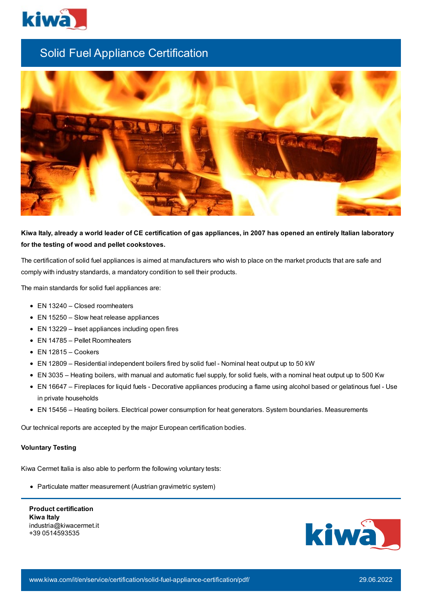

## Solid Fuel Appliance Certification



## Kiwa Italy, already a world leader of CE certification of gas appliances, in 2007 has opened an entirely Italian laboratory **for the testing of wood and pellet cookstoves.**

The certification of solid fuel appliances is aimed at manufacturers who wish to place on the market products that are safe and comply with industry standards, a mandatory condition to sell their products.

The main standards for solid fuel appliances are:

- EN 13240 Closed roomheaters
- EN 15250 Slow heat release appliances
- EN 13229 Inset appliances including open fires
- EN 14785 Pellet Roomheaters
- EN 12815 Cookers
- EN 12809 Residential independent boilers fired by solid fuel Nominal heat output up to 50 kW
- EN 3035 Heating boilers, with manual and automatic fuel supply, for solid fuels, with a nominal heat output up to 500 Kw
- EN 16647 Fireplaces for liquid fuels Decorative appliances producing a flame using alcohol based or gelatinous fuel Use in private households
- EN 15456 Heating boilers. Electrical power consumption for heat generators. System boundaries. Measurements

Our technical reports are accepted by the major European certification bodies.

## **Voluntary Testing**

Kiwa Cermet Italia is also able to perform the following voluntary tests:

• Particulate matter measurement (Austrian gravimetric system)

**Product certification Kiwa Italy** industria@kiwacermet.it +39 0514593535